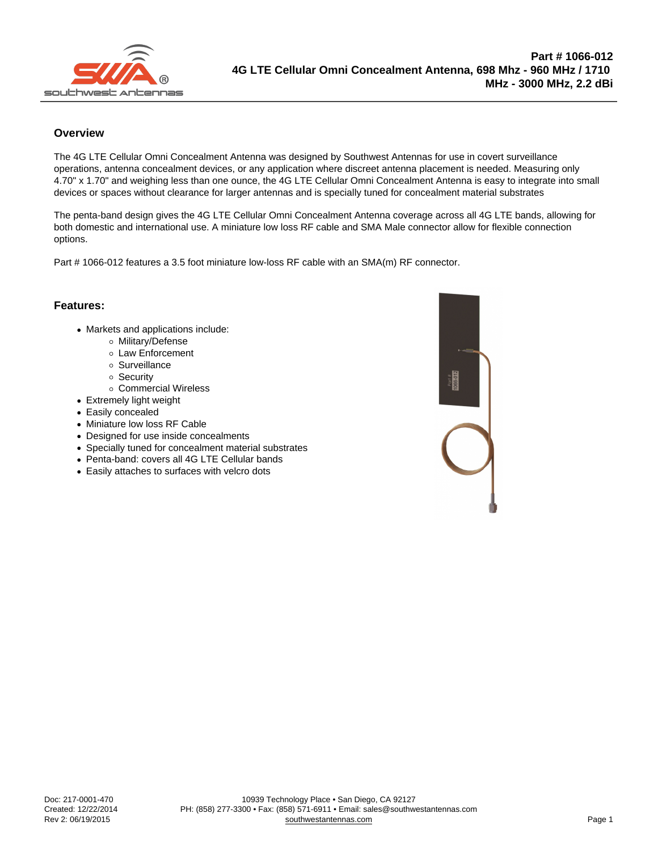## **Overview**

The 4G LTE Cellular Omni Concealment Antenna was designed by Southwest Antennas for use in covert surveillance operations, antenna concealment devices, or any application where discreet antenna placement is needed. Measuring only 4.70" x 1.70" and weighing less than one ounce, the 4G LTE Cellular Omni Concealment Antenna is easy to integrate into small devices or spaces without clearance for larger antennas and is specially tuned for concealment material substrates

The penta-band design gives the 4G LTE Cellular Omni Concealment Antenna coverage across all 4G LTE bands, allowing for both domestic and international use. A miniature low loss RF cable and SMA Male connector allow for flexible connection options.

Part # 1066-012 features a 3.5 foot miniature low-loss RF cable with an SMA(m) RF connector.

## Features:

- Markets and applications include:
	- o Military/Defense
	- Law Enforcement
	- Surveillance
	- o Security
	- Commercial Wireless
- Extremely light weight
- Easily concealed
- Miniature low loss RF Cable
- Designed for use inside concealments
- Specially tuned for concealment material substrates
- Penta-band: covers all 4G LTE Cellular bands
- Easily attaches to surfaces with velcro dots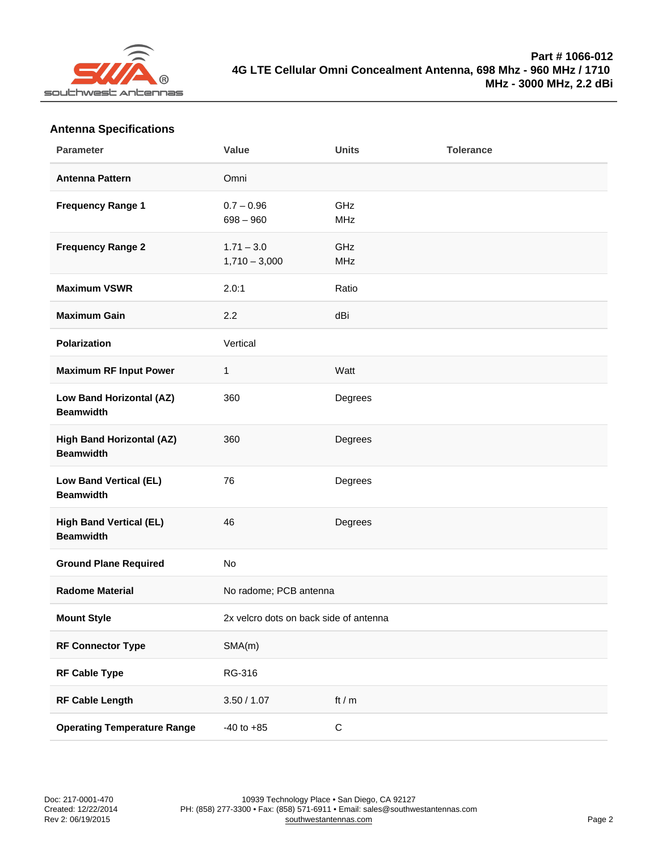## Antenna Specifications

| Parameter                              | Value                                  | Units             | Tolerance |
|----------------------------------------|----------------------------------------|-------------------|-----------|
| Antenna Pattern                        | Omni                                   |                   |           |
| Frequency Range 1                      | $0.7 - 0.96$<br>$698 - 960$            | GHz<br><b>MHz</b> |           |
| Frequency Range 2                      | $1.71 - 3.0$<br>$1,710 - 3,000$        | GHz<br><b>MHz</b> |           |
| Maximum VSWR                           | 2.0:1                                  | Ratio             |           |
| Maximum Gain                           | 2.2                                    | dBi               |           |
| Polarization                           | Vertical                               |                   |           |
| Maximum RF Input Power                 | 1                                      | Watt              |           |
| Low Band Horizontal (AZ)<br>Beamwidth  | 360                                    | Degrees           |           |
| High Band Horizontal (AZ)<br>Beamwidth | 360                                    | Degrees           |           |
| Low Band Vertical (EL)<br>Beamwidth    | 76                                     | Degrees           |           |
| High Band Vertical (EL)<br>Beamwidth   | 46                                     | Degrees           |           |
| <b>Ground Plane Required</b>           | No                                     |                   |           |
| Radome Material                        | No radome; PCB antenna                 |                   |           |
| Mount Style                            | 2x velcro dots on back side of antenna |                   |           |
| RF Connector Type                      | SMA(m)                                 |                   |           |
| RF Cable Type                          | RG-316                                 |                   |           |
| RF Cable Length                        | 3.50 / 1.07                            | ft / $m$          |           |
| <b>Operating Temperature Range</b>     | $-40$ to $+85$                         | $\mathsf C$       |           |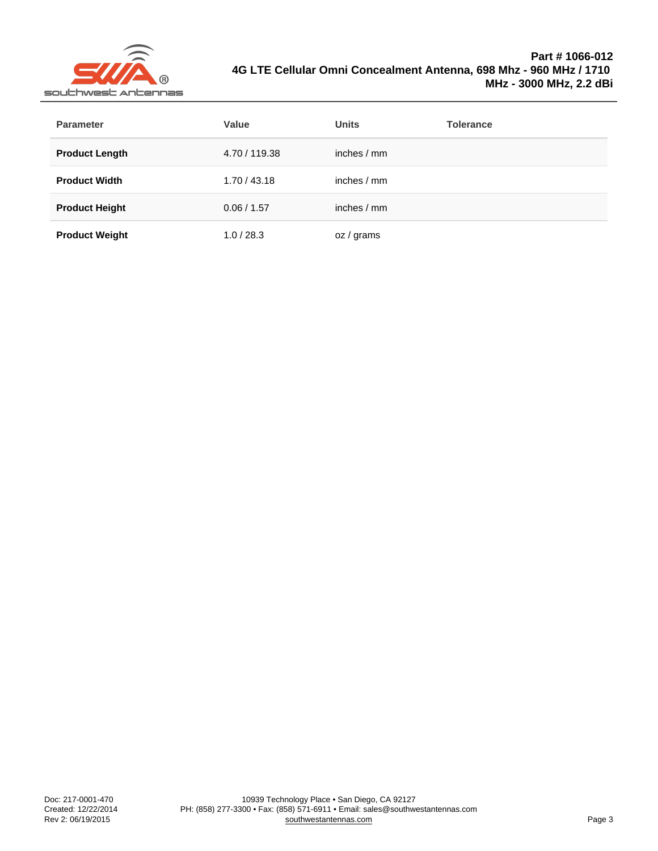| Parameter             | Value         | Units        | Tolerance |
|-----------------------|---------------|--------------|-----------|
| Product Length        | 4.70 / 119.38 | inches $/mm$ |           |
| <b>Product Width</b>  | 1.70 / 43.18  | inches $/mm$ |           |
| <b>Product Height</b> | 0.06 / 1.57   | inches $/mm$ |           |
| <b>Product Weight</b> | 1.0 / 28.3    | oz / grams   |           |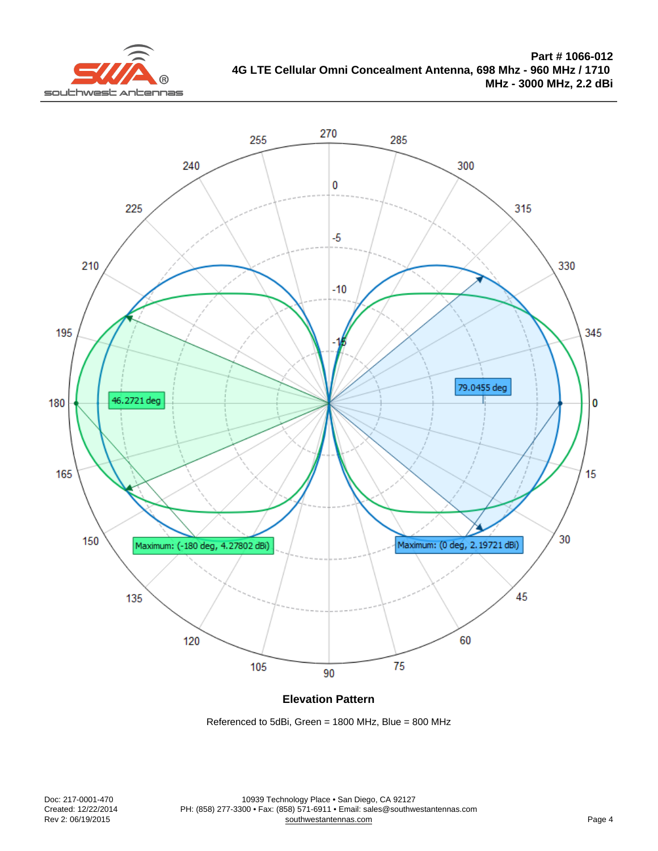Elevation Pattern

Referenced to 5dBi, Green = 1800 MHz, Blue = 800 MHz

Doc: 217-0001-470 Created: 12/22/2014 Rev 2: 06/19/2015